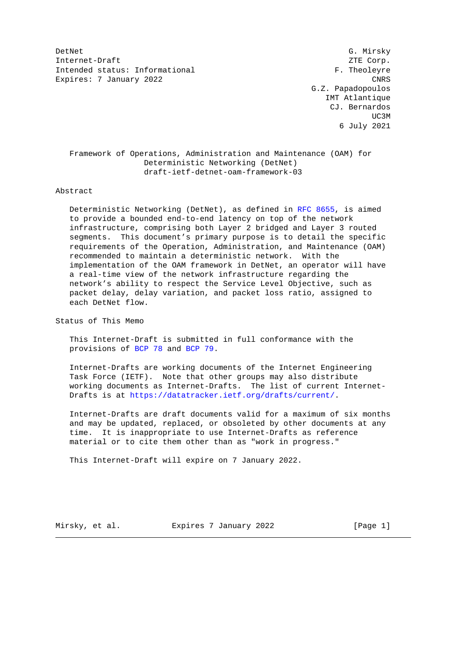DetNet G. Mirsky Internet-Draft ZTE Corp. Intended status: Informational F. Theoleyre Expires: 7 January 2022 CNRS

 G.Z. Papadopoulos IMT Atlantique CJ. Bernardos UC3M and the contract of the contract of the contract of the contract of the contract of the contract of the contract of the contract of the contract of the contract of the contract of the contract of the contract of the c 6 July 2021

 Framework of Operations, Administration and Maintenance (OAM) for Deterministic Networking (DetNet) draft-ietf-detnet-oam-framework-03

### Abstract

 Deterministic Networking (DetNet), as defined in [RFC 8655,](https://tools.ietf.org/pdf/rfc8655) is aimed to provide a bounded end-to-end latency on top of the network infrastructure, comprising both Layer 2 bridged and Layer 3 routed segments. This document's primary purpose is to detail the specific requirements of the Operation, Administration, and Maintenance (OAM) recommended to maintain a deterministic network. With the implementation of the OAM framework in DetNet, an operator will have a real-time view of the network infrastructure regarding the network's ability to respect the Service Level Objective, such as packet delay, delay variation, and packet loss ratio, assigned to each DetNet flow.

Status of This Memo

 This Internet-Draft is submitted in full conformance with the provisions of [BCP 78](https://tools.ietf.org/pdf/bcp78) and [BCP 79.](https://tools.ietf.org/pdf/bcp79)

 Internet-Drafts are working documents of the Internet Engineering Task Force (IETF). Note that other groups may also distribute working documents as Internet-Drafts. The list of current Internet- Drafts is at [https://datatracker.ietf.org/drafts/current/.](https://datatracker.ietf.org/drafts/current/)

 Internet-Drafts are draft documents valid for a maximum of six months and may be updated, replaced, or obsoleted by other documents at any time. It is inappropriate to use Internet-Drafts as reference material or to cite them other than as "work in progress."

This Internet-Draft will expire on 7 January 2022.

Mirsky, et al. Expires 7 January 2022 [Page 1]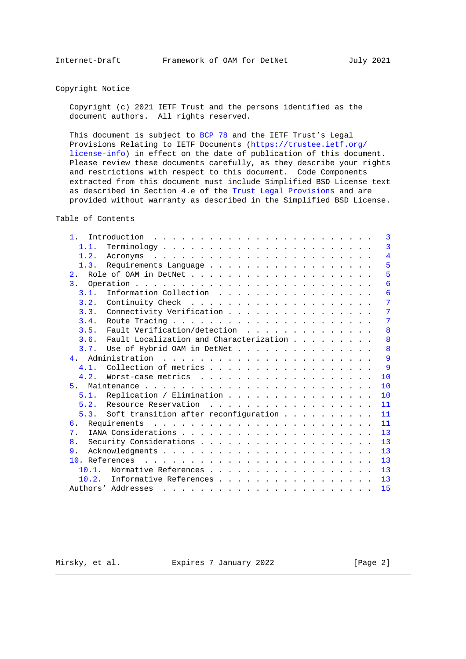## Copyright Notice

 Copyright (c) 2021 IETF Trust and the persons identified as the document authors. All rights reserved.

 This document is subject to [BCP 78](https://tools.ietf.org/pdf/bcp78) and the IETF Trust's Legal Provisions Relating to IETF Documents [\(https://trustee.ietf.org/](https://trustee.ietf.org/license-info) [license-info\)](https://trustee.ietf.org/license-info) in effect on the date of publication of this document. Please review these documents carefully, as they describe your rights and restrictions with respect to this document. Code Components extracted from this document must include Simplified BSD License text as described in Section 4.e of the [Trust Legal Provisions](https://trustee.ietf.org/license-info) and are provided without warranty as described in the Simplified BSD License.

Table of Contents

| 1 <sup>1</sup> | Introduction $\ldots \ldots \ldots \ldots \ldots \ldots \ldots \ldots$<br>3                         |  |
|----------------|-----------------------------------------------------------------------------------------------------|--|
| 1.1.           | 3                                                                                                   |  |
| 1.2.           | 4                                                                                                   |  |
| 1.3.           | 5<br>Requirements Language                                                                          |  |
|                | 5                                                                                                   |  |
| $\mathbf{3}$ . | $6\overline{6}$                                                                                     |  |
| 3.1.           | Information Collection<br>6                                                                         |  |
| 3.2.           | 7                                                                                                   |  |
| 3.3.           | Connectivity Verification<br>7                                                                      |  |
| 3.4.           | 7                                                                                                   |  |
| 3.5.           | Fault Verification/detection<br>8                                                                   |  |
| 3.6.           | 8<br>Fault Localization and Characterization                                                        |  |
| 3.7.           | 8<br>Use of Hybrid OAM in DetNet                                                                    |  |
|                | 9                                                                                                   |  |
| 4.1.           | 9<br>Collection of metrics                                                                          |  |
| 4.2.           | Worst-case metrics<br>10                                                                            |  |
| 5.             | 10                                                                                                  |  |
| 5.1.           | Replication / Elimination<br>10                                                                     |  |
| 5.2.           | Resource Reservation<br>.<br>11                                                                     |  |
|                | 5.3. Soft transition after reconfiguration<br>11                                                    |  |
| 6.             | 11                                                                                                  |  |
| 7.             | 13                                                                                                  |  |
| 8 <sub>1</sub> | 13                                                                                                  |  |
| 9.             | 13                                                                                                  |  |
|                | 13                                                                                                  |  |
| $10.1$ .       | Normative References<br>13                                                                          |  |
| 10.2.          | Informative References<br>13                                                                        |  |
|                | Authors' Addresses<br>15<br>والمناور والمناور والمناور والمناور والمناور والمناور والمناور والمناور |  |

Mirsky, et al. Expires 7 January 2022 [Page 2]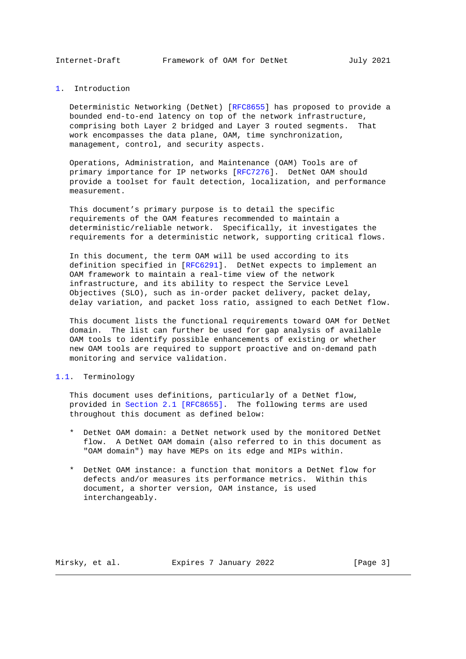<span id="page-2-1"></span>

#### <span id="page-2-0"></span>[1.](#page-2-0) Introduction

 Deterministic Networking (DetNet) [\[RFC8655\]](https://tools.ietf.org/pdf/rfc8655) has proposed to provide a bounded end-to-end latency on top of the network infrastructure, comprising both Layer 2 bridged and Layer 3 routed segments. That work encompasses the data plane, OAM, time synchronization, management, control, and security aspects.

 Operations, Administration, and Maintenance (OAM) Tools are of primary importance for IP networks [\[RFC7276\]](https://tools.ietf.org/pdf/rfc7276). DetNet OAM should provide a toolset for fault detection, localization, and performance measurement.

 This document's primary purpose is to detail the specific requirements of the OAM features recommended to maintain a deterministic/reliable network. Specifically, it investigates the requirements for a deterministic network, supporting critical flows.

 In this document, the term OAM will be used according to its definition specified in [\[RFC6291\]](https://tools.ietf.org/pdf/rfc6291). DetNet expects to implement an OAM framework to maintain a real-time view of the network infrastructure, and its ability to respect the Service Level Objectives (SLO), such as in-order packet delivery, packet delay, delay variation, and packet loss ratio, assigned to each DetNet flow.

 This document lists the functional requirements toward OAM for DetNet domain. The list can further be used for gap analysis of available OAM tools to identify possible enhancements of existing or whether new OAM tools are required to support proactive and on-demand path monitoring and service validation.

#### <span id="page-2-2"></span>[1.1.](#page-2-2) Terminology

 This document uses definitions, particularly of a DetNet flow, provided in [Section 2.1 \[RFC8655\].](https://tools.ietf.org/pdf/rfc8655#section-2.1) The following terms are used throughout this document as defined below:

- \* DetNet OAM domain: a DetNet network used by the monitored DetNet flow. A DetNet OAM domain (also referred to in this document as "OAM domain") may have MEPs on its edge and MIPs within.
- \* DetNet OAM instance: a function that monitors a DetNet flow for defects and/or measures its performance metrics. Within this document, a shorter version, OAM instance, is used interchangeably.

Mirsky, et al. Expires 7 January 2022 [Page 3]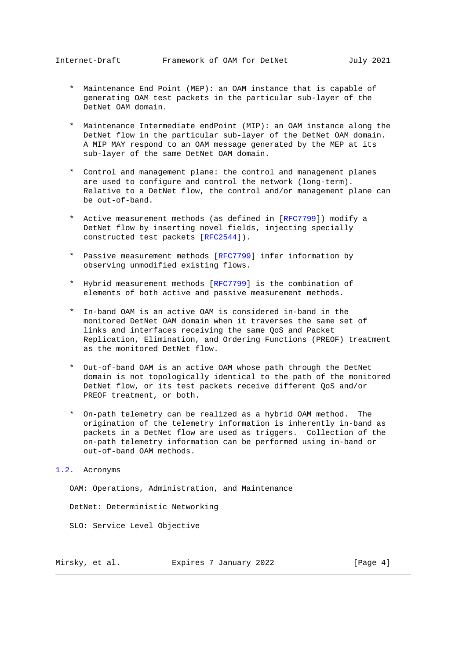- <span id="page-3-1"></span> \* Maintenance End Point (MEP): an OAM instance that is capable of generating OAM test packets in the particular sub-layer of the DetNet OAM domain.
- \* Maintenance Intermediate endPoint (MIP): an OAM instance along the DetNet flow in the particular sub-layer of the DetNet OAM domain. A MIP MAY respond to an OAM message generated by the MEP at its sub-layer of the same DetNet OAM domain.
- \* Control and management plane: the control and management planes are used to configure and control the network (long-term). Relative to a DetNet flow, the control and/or management plane can be out-of-band.
- \* Active measurement methods (as defined in [\[RFC7799\]](https://tools.ietf.org/pdf/rfc7799)) modify a DetNet flow by inserting novel fields, injecting specially constructed test packets [\[RFC2544\]](https://tools.ietf.org/pdf/rfc2544)).
- \* Passive measurement methods [\[RFC7799\]](https://tools.ietf.org/pdf/rfc7799) infer information by observing unmodified existing flows.
- \* Hybrid measurement methods [\[RFC7799\]](https://tools.ietf.org/pdf/rfc7799) is the combination of elements of both active and passive measurement methods.
- \* In-band OAM is an active OAM is considered in-band in the monitored DetNet OAM domain when it traverses the same set of links and interfaces receiving the same QoS and Packet Replication, Elimination, and Ordering Functions (PREOF) treatment as the monitored DetNet flow.
- \* Out-of-band OAM is an active OAM whose path through the DetNet domain is not topologically identical to the path of the monitored DetNet flow, or its test packets receive different QoS and/or PREOF treatment, or both.
- \* On-path telemetry can be realized as a hybrid OAM method. The origination of the telemetry information is inherently in-band as packets in a DetNet flow are used as triggers. Collection of the on-path telemetry information can be performed using in-band or out-of-band OAM methods.

## <span id="page-3-0"></span>[1.2.](#page-3-0) Acronyms

OAM: Operations, Administration, and Maintenance

DetNet: Deterministic Networking

SLO: Service Level Objective

Mirsky, et al. Expires 7 January 2022 [Page 4]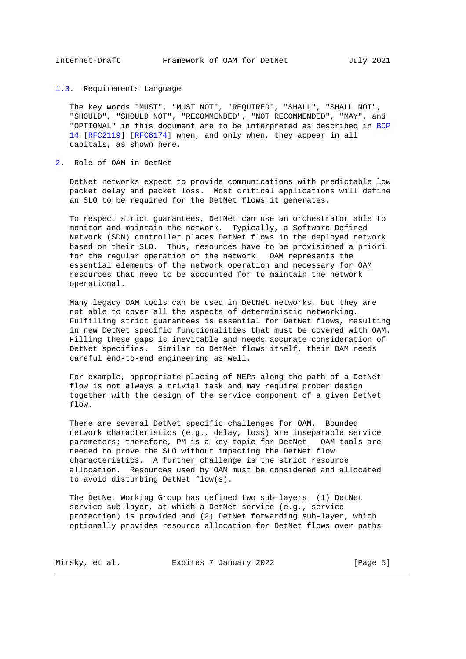<span id="page-4-1"></span><span id="page-4-0"></span>[1.3.](#page-4-0) Requirements Language

 The key words "MUST", "MUST NOT", "REQUIRED", "SHALL", "SHALL NOT", "SHOULD", "SHOULD NOT", "RECOMMENDED", "NOT RECOMMENDED", "MAY", and "OPTIONAL" in this document are to be interpreted as described in [BCP](https://tools.ietf.org/pdf/bcp14) [14](https://tools.ietf.org/pdf/bcp14) [\[RFC2119\]](https://tools.ietf.org/pdf/rfc2119) [\[RFC8174\]](https://tools.ietf.org/pdf/rfc8174) when, and only when, they appear in all capitals, as shown here.

#### <span id="page-4-2"></span>[2.](#page-4-2) Role of OAM in DetNet

 DetNet networks expect to provide communications with predictable low packet delay and packet loss. Most critical applications will define an SLO to be required for the DetNet flows it generates.

 To respect strict guarantees, DetNet can use an orchestrator able to monitor and maintain the network. Typically, a Software-Defined Network (SDN) controller places DetNet flows in the deployed network based on their SLO. Thus, resources have to be provisioned a priori for the regular operation of the network. OAM represents the essential elements of the network operation and necessary for OAM resources that need to be accounted for to maintain the network operational.

 Many legacy OAM tools can be used in DetNet networks, but they are not able to cover all the aspects of deterministic networking. Fulfilling strict guarantees is essential for DetNet flows, resulting in new DetNet specific functionalities that must be covered with OAM. Filling these gaps is inevitable and needs accurate consideration of DetNet specifics. Similar to DetNet flows itself, their OAM needs careful end-to-end engineering as well.

 For example, appropriate placing of MEPs along the path of a DetNet flow is not always a trivial task and may require proper design together with the design of the service component of a given DetNet flow.

 There are several DetNet specific challenges for OAM. Bounded network characteristics (e.g., delay, loss) are inseparable service parameters; therefore, PM is a key topic for DetNet. OAM tools are needed to prove the SLO without impacting the DetNet flow characteristics. A further challenge is the strict resource allocation. Resources used by OAM must be considered and allocated to avoid disturbing DetNet flow(s).

 The DetNet Working Group has defined two sub-layers: (1) DetNet service sub-layer, at which a DetNet service (e.g., service protection) is provided and (2) DetNet forwarding sub-layer, which optionally provides resource allocation for DetNet flows over paths

| Mirsky, et al. | Expires 7 January 2022 | [Page 5] |
|----------------|------------------------|----------|
|----------------|------------------------|----------|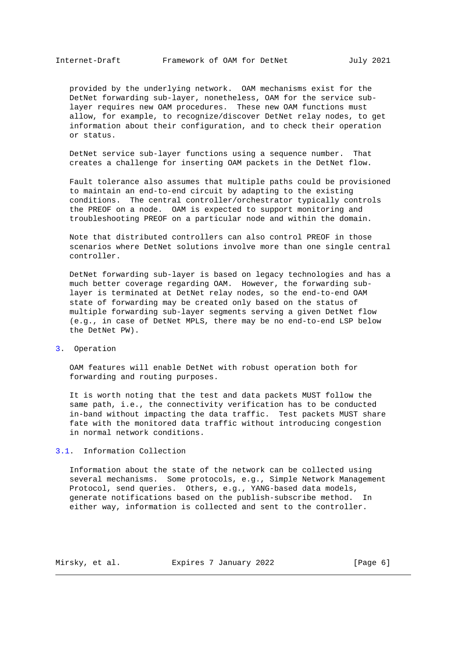<span id="page-5-1"></span> provided by the underlying network. OAM mechanisms exist for the DetNet forwarding sub-layer, nonetheless, OAM for the service sub layer requires new OAM procedures. These new OAM functions must allow, for example, to recognize/discover DetNet relay nodes, to get information about their configuration, and to check their operation or status.

 DetNet service sub-layer functions using a sequence number. That creates a challenge for inserting OAM packets in the DetNet flow.

 Fault tolerance also assumes that multiple paths could be provisioned to maintain an end-to-end circuit by adapting to the existing conditions. The central controller/orchestrator typically controls the PREOF on a node. OAM is expected to support monitoring and troubleshooting PREOF on a particular node and within the domain.

 Note that distributed controllers can also control PREOF in those scenarios where DetNet solutions involve more than one single central controller.

 DetNet forwarding sub-layer is based on legacy technologies and has a much better coverage regarding OAM. However, the forwarding sub layer is terminated at DetNet relay nodes, so the end-to-end OAM state of forwarding may be created only based on the status of multiple forwarding sub-layer segments serving a given DetNet flow (e.g., in case of DetNet MPLS, there may be no end-to-end LSP below the DetNet PW).

<span id="page-5-0"></span>[3.](#page-5-0) Operation

 OAM features will enable DetNet with robust operation both for forwarding and routing purposes.

 It is worth noting that the test and data packets MUST follow the same path, i.e., the connectivity verification has to be conducted in-band without impacting the data traffic. Test packets MUST share fate with the monitored data traffic without introducing congestion in normal network conditions.

<span id="page-5-2"></span>[3.1.](#page-5-2) Information Collection

 Information about the state of the network can be collected using several mechanisms. Some protocols, e.g., Simple Network Management Protocol, send queries. Others, e.g., YANG-based data models, generate notifications based on the publish-subscribe method. In either way, information is collected and sent to the controller.

Mirsky, et al. Expires 7 January 2022 [Page 6]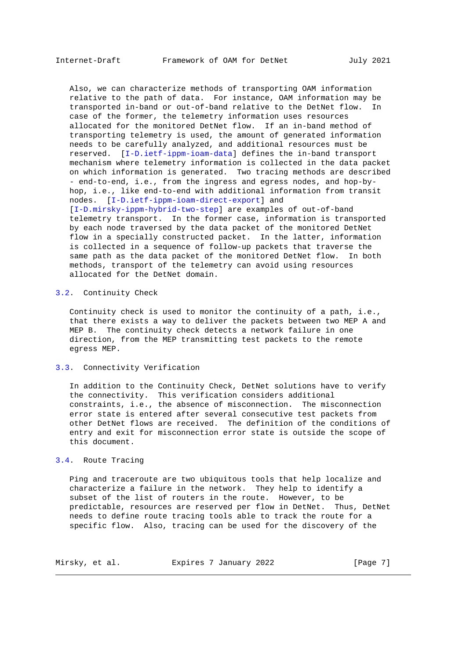<span id="page-6-1"></span> Also, we can characterize methods of transporting OAM information relative to the path of data. For instance, OAM information may be transported in-band or out-of-band relative to the DetNet flow. In case of the former, the telemetry information uses resources allocated for the monitored DetNet flow. If an in-band method of transporting telemetry is used, the amount of generated information needs to be carefully analyzed, and additional resources must be reserved. [\[I-D.ietf-ippm-ioam-data\]](#page-12-7) defines the in-band transport mechanism where telemetry information is collected in the data packet on which information is generated. Two tracing methods are described - end-to-end, i.e., from the ingress and egress nodes, and hop-by hop, i.e., like end-to-end with additional information from transit nodes. [\[I-D.ietf-ippm-ioam-direct-export\]](#page-13-0) and [\[I-D.mirsky-ippm-hybrid-two-step\]](#page-13-1) are examples of out-of-band telemetry transport. In the former case, information is transported by each node traversed by the data packet of the monitored DetNet flow in a specially constructed packet. In the latter, information is collected in a sequence of follow-up packets that traverse the same path as the data packet of the monitored DetNet flow. In both methods, transport of the telemetry can avoid using resources allocated for the DetNet domain.

# <span id="page-6-0"></span>[3.2.](#page-6-0) Continuity Check

 Continuity check is used to monitor the continuity of a path, i.e., that there exists a way to deliver the packets between two MEP A and MEP B. The continuity check detects a network failure in one direction, from the MEP transmitting test packets to the remote egress MEP.

#### <span id="page-6-2"></span>[3.3.](#page-6-2) Connectivity Verification

 In addition to the Continuity Check, DetNet solutions have to verify the connectivity. This verification considers additional constraints, i.e., the absence of misconnection. The misconnection error state is entered after several consecutive test packets from other DetNet flows are received. The definition of the conditions of entry and exit for misconnection error state is outside the scope of this document.

## <span id="page-6-3"></span>[3.4.](#page-6-3) Route Tracing

 Ping and traceroute are two ubiquitous tools that help localize and characterize a failure in the network. They help to identify a subset of the list of routers in the route. However, to be predictable, resources are reserved per flow in DetNet. Thus, DetNet needs to define route tracing tools able to track the route for a specific flow. Also, tracing can be used for the discovery of the

| Mirsky, et al. | Expires 7 January 2022 | [Page 7] |
|----------------|------------------------|----------|
|----------------|------------------------|----------|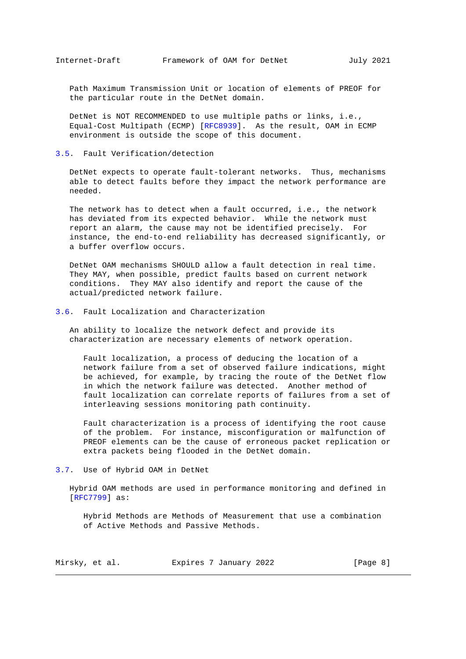<span id="page-7-1"></span> Path Maximum Transmission Unit or location of elements of PREOF for the particular route in the DetNet domain.

 DetNet is NOT RECOMMENDED to use multiple paths or links, i.e., Equal-Cost Multipath (ECMP) [\[RFC8939\]](https://tools.ietf.org/pdf/rfc8939). As the result, OAM in ECMP environment is outside the scope of this document.

### <span id="page-7-0"></span>[3.5.](#page-7-0) Fault Verification/detection

 DetNet expects to operate fault-tolerant networks. Thus, mechanisms able to detect faults before they impact the network performance are needed.

 The network has to detect when a fault occurred, i.e., the network has deviated from its expected behavior. While the network must report an alarm, the cause may not be identified precisely. For instance, the end-to-end reliability has decreased significantly, or a buffer overflow occurs.

 DetNet OAM mechanisms SHOULD allow a fault detection in real time. They MAY, when possible, predict faults based on current network conditions. They MAY also identify and report the cause of the actual/predicted network failure.

## <span id="page-7-2"></span>[3.6.](#page-7-2) Fault Localization and Characterization

 An ability to localize the network defect and provide its characterization are necessary elements of network operation.

 Fault localization, a process of deducing the location of a network failure from a set of observed failure indications, might be achieved, for example, by tracing the route of the DetNet flow in which the network failure was detected. Another method of fault localization can correlate reports of failures from a set of interleaving sessions monitoring path continuity.

 Fault characterization is a process of identifying the root cause of the problem. For instance, misconfiguration or malfunction of PREOF elements can be the cause of erroneous packet replication or extra packets being flooded in the DetNet domain.

## <span id="page-7-3"></span>[3.7.](#page-7-3) Use of Hybrid OAM in DetNet

 Hybrid OAM methods are used in performance monitoring and defined in [\[RFC7799\]](https://tools.ietf.org/pdf/rfc7799) as:

 Hybrid Methods are Methods of Measurement that use a combination of Active Methods and Passive Methods.

Mirsky, et al. Expires 7 January 2022 [Page 8]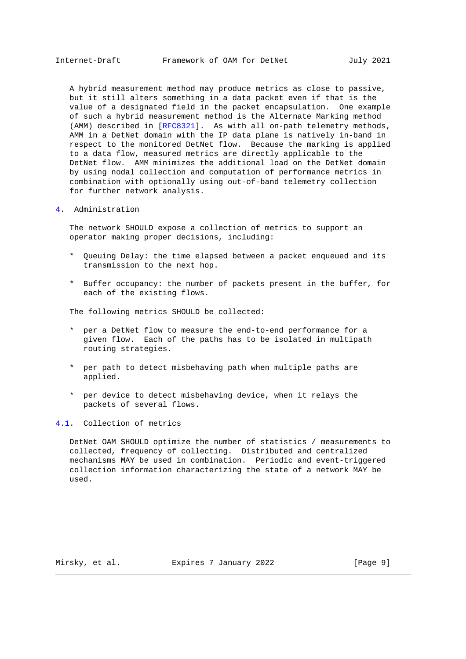<span id="page-8-1"></span> A hybrid measurement method may produce metrics as close to passive, but it still alters something in a data packet even if that is the value of a designated field in the packet encapsulation. One example of such a hybrid measurement method is the Alternate Marking method (AMM) described in [\[RFC8321\]](https://tools.ietf.org/pdf/rfc8321). As with all on-path telemetry methods, AMM in a DetNet domain with the IP data plane is natively in-band in respect to the monitored DetNet flow. Because the marking is applied to a data flow, measured metrics are directly applicable to the DetNet flow. AMM minimizes the additional load on the DetNet domain by using nodal collection and computation of performance metrics in combination with optionally using out-of-band telemetry collection for further network analysis.

# <span id="page-8-0"></span>[4.](#page-8-0) Administration

 The network SHOULD expose a collection of metrics to support an operator making proper decisions, including:

- \* Queuing Delay: the time elapsed between a packet enqueued and its transmission to the next hop.
- \* Buffer occupancy: the number of packets present in the buffer, for each of the existing flows.

The following metrics SHOULD be collected:

- \* per a DetNet flow to measure the end-to-end performance for a given flow. Each of the paths has to be isolated in multipath routing strategies.
- \* per path to detect misbehaving path when multiple paths are applied.
- \* per device to detect misbehaving device, when it relays the packets of several flows.

<span id="page-8-2"></span>[4.1.](#page-8-2) Collection of metrics

 DetNet OAM SHOULD optimize the number of statistics / measurements to collected, frequency of collecting. Distributed and centralized mechanisms MAY be used in combination. Periodic and event-triggered collection information characterizing the state of a network MAY be used.

Mirsky, et al. Expires 7 January 2022 [Page 9]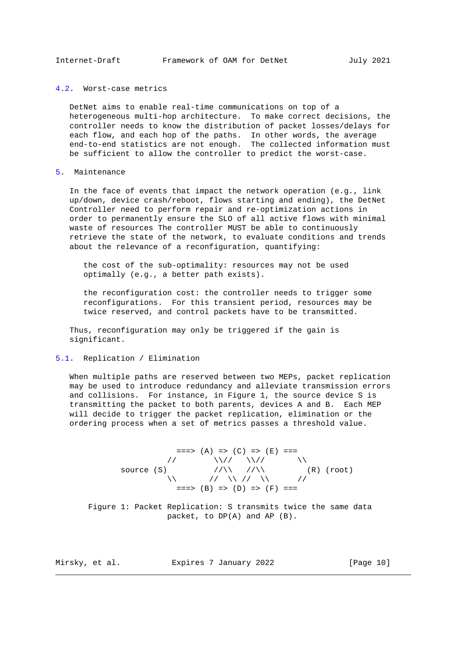#### <span id="page-9-1"></span><span id="page-9-0"></span>[4.2.](#page-9-0) Worst-case metrics

 DetNet aims to enable real-time communications on top of a heterogeneous multi-hop architecture. To make correct decisions, the controller needs to know the distribution of packet losses/delays for each flow, and each hop of the paths. In other words, the average end-to-end statistics are not enough. The collected information must be sufficient to allow the controller to predict the worst-case.

#### <span id="page-9-2"></span>[5.](#page-9-2) Maintenance

 In the face of events that impact the network operation (e.g., link up/down, device crash/reboot, flows starting and ending), the DetNet Controller need to perform repair and re-optimization actions in order to permanently ensure the SLO of all active flows with minimal waste of resources The controller MUST be able to continuously retrieve the state of the network, to evaluate conditions and trends about the relevance of a reconfiguration, quantifying:

 the cost of the sub-optimality: resources may not be used optimally (e.g., a better path exists).

 the reconfiguration cost: the controller needs to trigger some reconfigurations. For this transient period, resources may be twice reserved, and control packets have to be transmitted.

 Thus, reconfiguration may only be triggered if the gain is significant.

### <span id="page-9-3"></span>[5.1.](#page-9-3) Replication / Elimination

 When multiple paths are reserved between two MEPs, packet replication may be used to introduce redundancy and alleviate transmission errors and collisions. For instance, in Figure 1, the source device S is transmitting the packet to both parents, devices A and B. Each MEP will decide to trigger the packet replication, elimination or the ordering process when a set of metrics passes a threshold value.

$$
==>> (A) =>> (C) => (E) ===\n// // // // // // // (R) (root)\n
$$
\wedge
$$
 // // // // // (R) (root)  
\n
$$
==>> (B) => (D) => (F) ===
$$
$$

 Figure 1: Packet Replication: S transmits twice the same data packet, to DP(A) and AP (B).

Mirsky, et al. Expires 7 January 2022 [Page 10]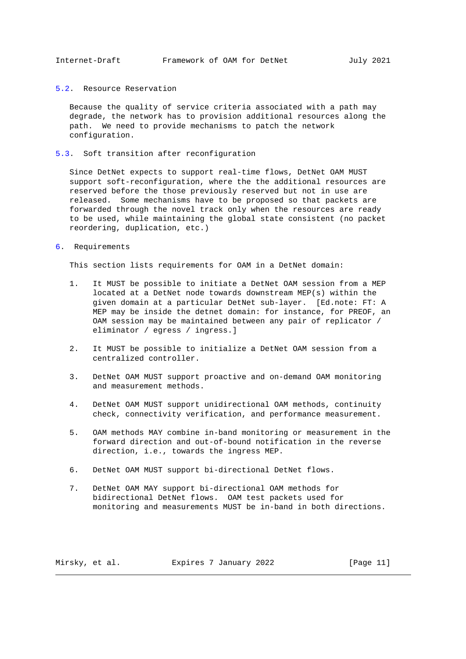#### <span id="page-10-1"></span><span id="page-10-0"></span>[5.2.](#page-10-0) Resource Reservation

 Because the quality of service criteria associated with a path may degrade, the network has to provision additional resources along the path. We need to provide mechanisms to patch the network configuration.

<span id="page-10-2"></span>[5.3.](#page-10-2) Soft transition after reconfiguration

 Since DetNet expects to support real-time flows, DetNet OAM MUST support soft-reconfiguration, where the the additional resources are reserved before the those previously reserved but not in use are released. Some mechanisms have to be proposed so that packets are forwarded through the novel track only when the resources are ready to be used, while maintaining the global state consistent (no packet reordering, duplication, etc.)

<span id="page-10-3"></span>[6.](#page-10-3) Requirements

This section lists requirements for OAM in a DetNet domain:

- 1. It MUST be possible to initiate a DetNet OAM session from a MEP located at a DetNet node towards downstream MEP(s) within the given domain at a particular DetNet sub-layer. [Ed.note: FT: A MEP may be inside the detnet domain: for instance, for PREOF, an OAM session may be maintained between any pair of replicator / eliminator / egress / ingress.]
- 2. It MUST be possible to initialize a DetNet OAM session from a centralized controller.
- 3. DetNet OAM MUST support proactive and on-demand OAM monitoring and measurement methods.
- 4. DetNet OAM MUST support unidirectional OAM methods, continuity check, connectivity verification, and performance measurement.
- 5. OAM methods MAY combine in-band monitoring or measurement in the forward direction and out-of-bound notification in the reverse direction, i.e., towards the ingress MEP.
- 6. DetNet OAM MUST support bi-directional DetNet flows.
- 7. DetNet OAM MAY support bi-directional OAM methods for bidirectional DetNet flows. OAM test packets used for monitoring and measurements MUST be in-band in both directions.

Mirsky, et al. Expires 7 January 2022 [Page 11]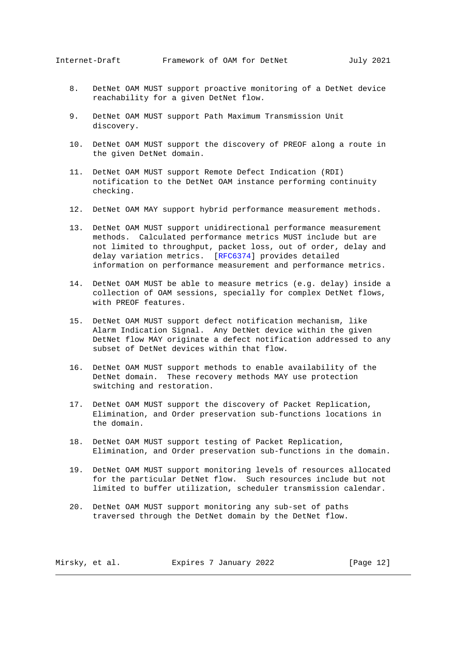- 8. DetNet OAM MUST support proactive monitoring of a DetNet device reachability for a given DetNet flow.
- 9. DetNet OAM MUST support Path Maximum Transmission Unit discovery.
- 10. DetNet OAM MUST support the discovery of PREOF along a route in the given DetNet domain.
- 11. DetNet OAM MUST support Remote Defect Indication (RDI) notification to the DetNet OAM instance performing continuity checking.
- 12. DetNet OAM MAY support hybrid performance measurement methods.
- 13. DetNet OAM MUST support unidirectional performance measurement methods. Calculated performance metrics MUST include but are not limited to throughput, packet loss, out of order, delay and delay variation metrics. [\[RFC6374\]](https://tools.ietf.org/pdf/rfc6374) provides detailed information on performance measurement and performance metrics.
- 14. DetNet OAM MUST be able to measure metrics (e.g. delay) inside a collection of OAM sessions, specially for complex DetNet flows, with PREOF features.
- 15. DetNet OAM MUST support defect notification mechanism, like Alarm Indication Signal. Any DetNet device within the given DetNet flow MAY originate a defect notification addressed to any subset of DetNet devices within that flow.
- 16. DetNet OAM MUST support methods to enable availability of the DetNet domain. These recovery methods MAY use protection switching and restoration.
- 17. DetNet OAM MUST support the discovery of Packet Replication, Elimination, and Order preservation sub-functions locations in the domain.
- 18. DetNet OAM MUST support testing of Packet Replication, Elimination, and Order preservation sub-functions in the domain.
- 19. DetNet OAM MUST support monitoring levels of resources allocated for the particular DetNet flow. Such resources include but not limited to buffer utilization, scheduler transmission calendar.
- 20. DetNet OAM MUST support monitoring any sub-set of paths traversed through the DetNet domain by the DetNet flow.

Mirsky, et al. Expires 7 January 2022 [Page 12]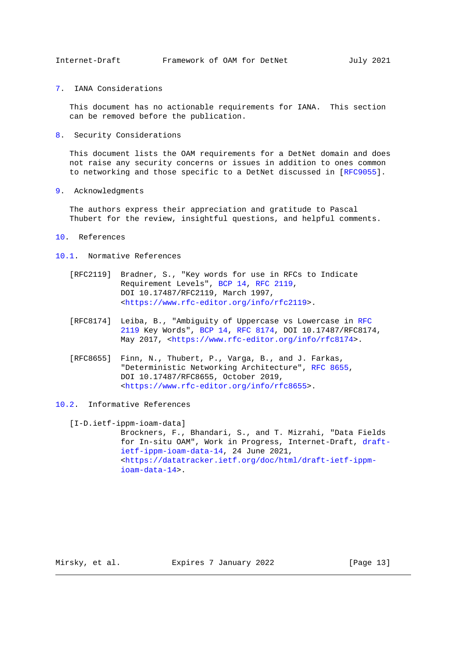<span id="page-12-1"></span><span id="page-12-0"></span>[7.](#page-12-0) IANA Considerations

 This document has no actionable requirements for IANA. This section can be removed before the publication.

<span id="page-12-2"></span>[8.](#page-12-2) Security Considerations

 This document lists the OAM requirements for a DetNet domain and does not raise any security concerns or issues in addition to ones common to networking and those specific to a DetNet discussed in [\[RFC9055\]](https://tools.ietf.org/pdf/rfc9055).

<span id="page-12-3"></span>[9.](#page-12-3) Acknowledgments

 The authors express their appreciation and gratitude to Pascal Thubert for the review, insightful questions, and helpful comments.

- <span id="page-12-4"></span>[10.](#page-12-4) References
- <span id="page-12-5"></span>[10.1.](#page-12-5) Normative References
	- [RFC2119] Bradner, S., "Key words for use in RFCs to Indicate Requirement Levels", [BCP 14,](https://tools.ietf.org/pdf/bcp14) [RFC 2119,](https://tools.ietf.org/pdf/rfc2119) DOI 10.17487/RFC2119, March 1997, [<https://www.rfc-editor.org/info/rfc2119>](https://www.rfc-editor.org/info/rfc2119).
	- [RFC8174] Leiba, B., "Ambiguity of Uppercase vs Lowercase in [RFC](https://tools.ietf.org/pdf/rfc2119) [2119](https://tools.ietf.org/pdf/rfc2119) Key Words", [BCP 14,](https://tools.ietf.org/pdf/bcp14) [RFC 8174,](https://tools.ietf.org/pdf/rfc8174) DOI 10.17487/RFC8174, May 2017, [<https://www.rfc-editor.org/info/rfc8174>](https://www.rfc-editor.org/info/rfc8174).
	- [RFC8655] Finn, N., Thubert, P., Varga, B., and J. Farkas, "Deterministic Networking Architecture", [RFC 8655,](https://tools.ietf.org/pdf/rfc8655) DOI 10.17487/RFC8655, October 2019, [<https://www.rfc-editor.org/info/rfc8655>](https://www.rfc-editor.org/info/rfc8655).
- <span id="page-12-7"></span><span id="page-12-6"></span>[10.2.](#page-12-6) Informative References

[I-D.ietf-ippm-ioam-data]

 Brockners, F., Bhandari, S., and T. Mizrahi, "Data Fields for In-situ OAM", Work in Progress, Internet-Draft, [draft](https://tools.ietf.org/pdf/draft-ietf-ippm-ioam-data-14) [ietf-ippm-ioam-data-14,](https://tools.ietf.org/pdf/draft-ietf-ippm-ioam-data-14) 24 June 2021, [<https://datatracker.ietf.org/doc/html/draft-ietf-ippm](https://datatracker.ietf.org/doc/html/draft-ietf-ippm-ioam-data-14) [ioam-data-14>](https://datatracker.ietf.org/doc/html/draft-ietf-ippm-ioam-data-14).

Mirsky, et al. Expires 7 January 2022 [Page 13]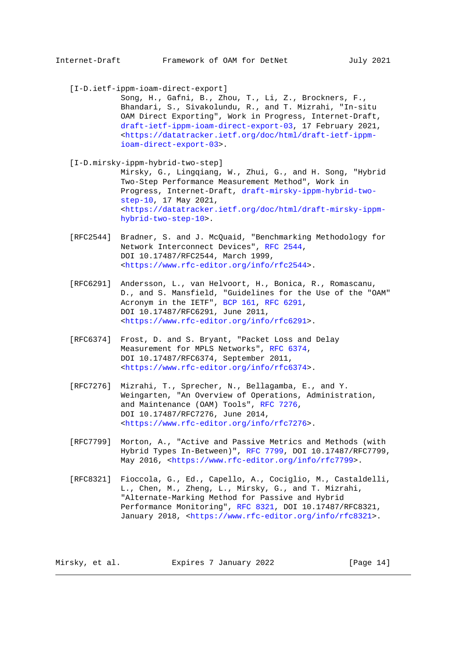[I-D.ietf-ippm-ioam-direct-export]

 Song, H., Gafni, B., Zhou, T., Li, Z., Brockners, F., Bhandari, S., Sivakolundu, R., and T. Mizrahi, "In-situ OAM Direct Exporting", Work in Progress, Internet-Draft, [draft-ietf-ippm-ioam-direct-export-03,](https://tools.ietf.org/pdf/draft-ietf-ippm-ioam-direct-export-03) 17 February 2021, [<https://datatracker.ietf.org/doc/html/draft-ietf-ippm](https://datatracker.ietf.org/doc/html/draft-ietf-ippm-ioam-direct-export-03) [ioam-direct-export-03>](https://datatracker.ietf.org/doc/html/draft-ietf-ippm-ioam-direct-export-03).

<span id="page-13-1"></span> [I-D.mirsky-ippm-hybrid-two-step] Mirsky, G., Lingqiang, W., Zhui, G., and H. Song, "Hybrid Two-Step Performance Measurement Method", Work in

 Progress, Internet-Draft, [draft-mirsky-ippm-hybrid-two](https://tools.ietf.org/pdf/draft-mirsky-ippm-hybrid-two-step-10) [step-10,](https://tools.ietf.org/pdf/draft-mirsky-ippm-hybrid-two-step-10) 17 May 2021, [<https://datatracker.ietf.org/doc/html/draft-mirsky-ippm](https://datatracker.ietf.org/doc/html/draft-mirsky-ippm-hybrid-two-step-10) [hybrid-two-step-10>](https://datatracker.ietf.org/doc/html/draft-mirsky-ippm-hybrid-two-step-10).

 [RFC2544] Bradner, S. and J. McQuaid, "Benchmarking Methodology for Network Interconnect Devices", [RFC 2544,](https://tools.ietf.org/pdf/rfc2544) DOI 10.17487/RFC2544, March 1999, [<https://www.rfc-editor.org/info/rfc2544>](https://www.rfc-editor.org/info/rfc2544).

- [RFC6291] Andersson, L., van Helvoort, H., Bonica, R., Romascanu, D., and S. Mansfield, "Guidelines for the Use of the "OAM" Acronym in the IETF", [BCP 161,](https://tools.ietf.org/pdf/bcp161) [RFC 6291,](https://tools.ietf.org/pdf/rfc6291) DOI 10.17487/RFC6291, June 2011, [<https://www.rfc-editor.org/info/rfc6291>](https://www.rfc-editor.org/info/rfc6291).
- [RFC6374] Frost, D. and S. Bryant, "Packet Loss and Delay Measurement for MPLS Networks", [RFC 6374,](https://tools.ietf.org/pdf/rfc6374) DOI 10.17487/RFC6374, September 2011, [<https://www.rfc-editor.org/info/rfc6374>](https://www.rfc-editor.org/info/rfc6374).
- [RFC7276] Mizrahi, T., Sprecher, N., Bellagamba, E., and Y. Weingarten, "An Overview of Operations, Administration, and Maintenance (OAM) Tools", [RFC 7276,](https://tools.ietf.org/pdf/rfc7276) DOI 10.17487/RFC7276, June 2014, [<https://www.rfc-editor.org/info/rfc7276>](https://www.rfc-editor.org/info/rfc7276).
- [RFC7799] Morton, A., "Active and Passive Metrics and Methods (with Hybrid Types In-Between)", [RFC 7799,](https://tools.ietf.org/pdf/rfc7799) DOI 10.17487/RFC7799, May 2016, [<https://www.rfc-editor.org/info/rfc7799>](https://www.rfc-editor.org/info/rfc7799).
- [RFC8321] Fioccola, G., Ed., Capello, A., Cociglio, M., Castaldelli, L., Chen, M., Zheng, L., Mirsky, G., and T. Mizrahi, "Alternate-Marking Method for Passive and Hybrid Performance Monitoring", [RFC 8321,](https://tools.ietf.org/pdf/rfc8321) DOI 10.17487/RFC8321, January 2018, [<https://www.rfc-editor.org/info/rfc8321>](https://www.rfc-editor.org/info/rfc8321).

Mirsky, et al. Expires 7 January 2022 [Page 14]

<span id="page-13-0"></span>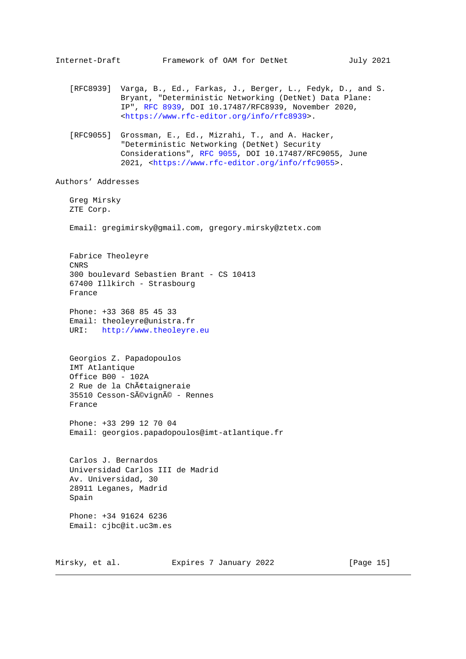<span id="page-14-0"></span>Internet-Draft Framework of OAM for DetNet July 2021 [RFC8939] Varga, B., Ed., Farkas, J., Berger, L., Fedyk, D., and S. Bryant, "Deterministic Networking (DetNet) Data Plane: IP", [RFC 8939,](https://tools.ietf.org/pdf/rfc8939) DOI 10.17487/RFC8939, November 2020, [<https://www.rfc-editor.org/info/rfc8939>](https://www.rfc-editor.org/info/rfc8939). [RFC9055] Grossman, E., Ed., Mizrahi, T., and A. Hacker, "Deterministic Networking (DetNet) Security Considerations", [RFC 9055,](https://tools.ietf.org/pdf/rfc9055) DOI 10.17487/RFC9055, June 2021, [<https://www.rfc-editor.org/info/rfc9055>](https://www.rfc-editor.org/info/rfc9055). Authors' Addresses Greg Mirsky ZTE Corp. Email: gregimirsky@gmail.com, gregory.mirsky@ztetx.com Fabrice Theoleyre CNRS 300 boulevard Sebastien Brant - CS 10413 67400 Illkirch - Strasbourg France Phone: +33 368 85 45 33 Email: theoleyre@unistra.fr URI: [http://www.theoleyre.eu](http://www.theoleyre.eu/) Georgios Z. Papadopoulos IMT Atlantique Office B00 - 102A 2 Rue de la Châtaigneraie 35510 Cesson-Sévigné - Rennes France Phone: +33 299 12 70 04 Email: georgios.papadopoulos@imt-atlantique.fr Carlos J. Bernardos Universidad Carlos III de Madrid Av. Universidad, 30 28911 Leganes, Madrid Spain Phone: +34 91624 6236 Email: cjbc@it.uc3m.es

Mirsky, et al. Expires 7 January 2022 [Page 15]